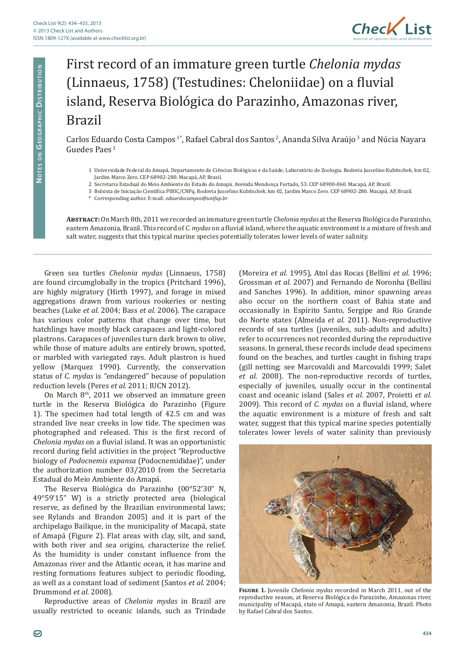

## First record of an immature green turtle *Chelonia mydas*  (Linnaeus, 1758) (Testudines: Cheloniidae) on a fluvial island, Reserva Biológica do Parazinho, Amazonas river, Brazil

Carlos Eduardo Costa Campos<sup>1\*</sup>, Rafael Cabral dos Santos<sup>2</sup>, Ananda Silva Araújo<sup>3</sup> and Núcia Nayara Guedes Paes 3

- 1 Universidade Federal do Amapá, Departamento de Ciências Biológicas e da Saúde, Laboratório de Zoologia. Rodovia Juscelino Kubitschek, km 02, Jardim Marco Zero. CEP 68902-280. Macapá, AP, Brazil.
- 2 Secretaria Estadual do Meio Ambiente do Estado do Amapá. Avenida Mendonça Furtado, 53. CEP 68900-060. Macapá, AP, Brazil.
- 3 Bolsista de Iniciação Científica PIBIC/CNPq. Rodovia Juscelino Kubitschek, km 02, Jardim Marco Zero. CEP 68902-280. Macapá, AP, Brazil.
- \* Corresponding author. E-mail: *eduardocampos@unifap.br*

**Abstract:** On March 8th, 2011 we recorded an immature green turtle *Chelonia mydas* at the Reserva Biológica do Parazinho, eastern Amazonia, Brazil. This record of *C. mydas* on a fluvial island, where the aquatic environment is a mixture of fresh and salt water, suggests that this typical marine species potentially tolerates lower levels of water salinity.

Green sea turtles *Chelonia mydas* (Linnaeus, 1758) are found circumglobally in the tropics (Pritchard 1996), are highly migratory (Hirth 1997), and forage in mixed aggregations drawn from various rookeries or nesting beaches (Luke *et al.* 2004; Bass *et al.* 2006). The carapace has various color patterns that change over time, but hatchlings have mostly black carapaces and light-colored plastrons. Carapaces of juveniles turn dark brown to olive, while those of mature adults are entirely brown, spotted, or marbled with variegated rays. Adult plastron is hued yellow (Marquez 1990). Currently, the conservation status of *C. mydas* is *"*endangered" because of population reduction levels (Peres *et al.* 2011; IUCN 2012).

On March  $8<sup>th</sup>$ , 2011 we observed an immature green turtle in the Reserva Biológica do Parazinho (Figure 1). The specimen had total length of 42.5 cm and was stranded live near creeks in low tide. The specimen was photographed and released. This is the first record of *Chelonia mydas* on a fluvial island. It was an opportunistic record during field activities in the project "Reproductive biology of *Podocnemis expansa* (Podocnemididae)", under the authorization number 03/2010 from the Secretaria Estadual do Meio Ambiente do Amapá.

The Reserva Biológica do Parazinho (00°52'30" N, 49°59'15" W) is a strictly protected area (biological reserve, as defined by the Brazilian environmental laws; see Rylands and Brandon 2005) and it is part of the archipelago Bailique, in the municipality of Macapá, state of Amapá (Figure 2). Flat areas with clay, silt, and sand, with both river and sea origins, characterize the relief. As the humidity is under constant influence from the Amazonas river and the Atlantic ocean, it has marine and resting formations features subject to periodic flooding, as well as a constant load of sediment (Santos *et al.* 2004; Drummond *et al*. 2008).

Reproductive areas of *Chelonia mydas* in Brazil are usually restricted to oceanic islands, such as Trindade

(Moreira *et al.* 1995), Atol das Rocas (Bellini *et al.* 1996; Grossman *et al.* 2007) and Fernando de Noronha (Bellini and Sanches 1996). In addition, minor spawning areas also occur on the northern coast of Bahia state and occasionally in Espírito Santo, Sergipe and Rio Grande do Norte states (Almeida *et al.* 2011). Non-reproductive records of sea turtles (juveniles, sub-adults and adults) refer to occurrences not recorded during the reproductive seasons. In general, these records include dead specimens found on the beaches, and turtles caught in fishing traps (gill netting; see Marcovaldi and Marcovaldi 1999; Salet *et al.* 2008). The non-reproductive records of turtles, especially of juveniles, usually occur in the continental coast and oceanic island (Sales *et al.* 2007, Proietti *et al.* 2009). This record of *C. mydas* on a fluvial island, where the aquatic environment is a mixture of fresh and salt water, suggest that this typical marine species potentially tolerates lower levels of water salinity than previously



**Figure 1.** Juvenile *Chelonia mydas* recorded in March 2011, out of the reproductive season, at Reserva Biológica do Parazinho, Amazonas river, municipality of Macapá, state of Amapá, eastern Amazonia, Brazil. Photo by Rafael Cabral dos Santos.